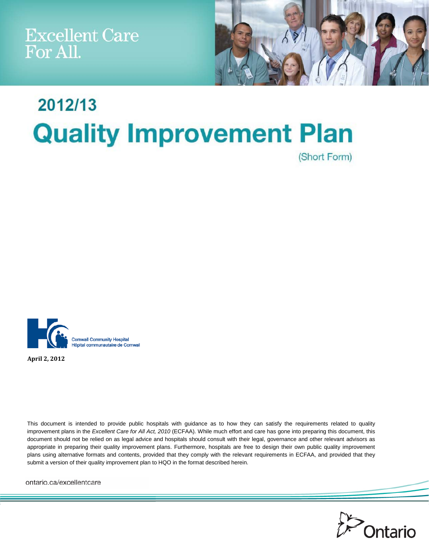Excellent Care<br>For All.



# 2012/13 **Quality Improvement Plan** (Short Form)



**April 2, 2012**

This document is intended to provide public hospitals with guidance as to how they can satisfy the requirements related to quality improvement plans in the *Excellent Care for All Act, 2010* (ECFAA). While much effort and care has gone into preparing this document, this document should not be relied on as legal advice and hospitals should consult with their legal, governance and other relevant advisors as appropriate in preparing their quality improvement plans. Furthermore, hospitals are free to design their own public quality improvement plans using alternative formats and contents, provided that they comply with the relevant requirements in ECFAA, and provided that they submit a version of their quality improvement plan to HQO in the format described herein.

ontario.ca/excellentcare

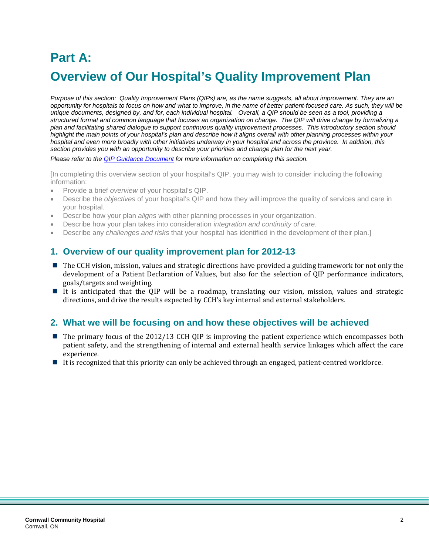# **Part A: Overview of Our Hospital's Quality Improvement Plan**

*Purpose of this section: Quality Improvement Plans (QIPs) are, as the name suggests, all about improvement. They are an opportunity for hospitals to focus on how and what to improve, in the name of better patient-focused care. As such, they will be unique documents, designed by, and for, each individual hospital. Overall, a QIP should be seen as a tool, providing a structured format and common language that focuses an organization on change. The QIP will drive change by formalizing a plan and facilitating shared dialogue to support continuous quality improvement processes. This introductory section should highlight the main points of your hospital's plan and describe how it aligns overall with other planning processes within your hospital and even more broadly with other initiatives underway in your hospital and across the province. In addition, this section provides you with an opportunity to describe your priorities and change plan for the next year.*

*Please refer to the [QIP Guidance Document](http://www.health.gov.on.ca/en/ms/ecfa/pro/updates/qualityimprove/qip_update_20111122.pdf) for more information on completing this section.*

[In completing this overview section of your hospital's QIP, you may wish to consider including the following information:

- Provide a brief *overview* of your hospital's QIP.
- Describe the *objectives* of your hospital's QIP and how they will improve the quality of services and care in your hospital.
- Describe how your plan *aligns* with other planning processes in your organization.
- Describe how your plan takes into consideration *integration and continuity of care.*
- Describe any *challenges and risks* that your hospital has identified in the development of their plan.]

#### **1. Overview of our quality improvement plan for 2012-13**

- The CCH vision, mission, values and strategic directions have provided a guiding framework for not only the development of a Patient Declaration of Values, but also for the selection of QIP performance indicators, goals/targets and weighting.
- $\frac{1}{2}$  . It is anticipated that the QIP will be a roadmap, translating our vision, mission, values and strategic directions, and drive the results expected by CCH's key internal and external stakeholders.

#### **2. What we will be focusing on and how these objectives will be achieved**

- The primary focus of the 2012/13 CCH QIP is improving the patient experience which encompasses both patient safety, and the strengthening of internal and external health service linkages which affect the care experience.
- If is recognized that this priority can only be achieved through an engaged, patient-centred workforce.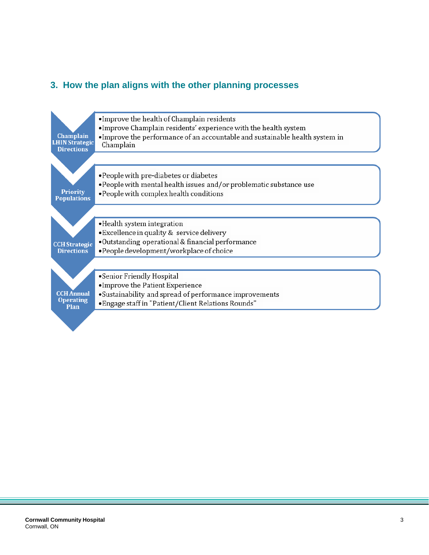### **3. How the plan aligns with the other planning processes**

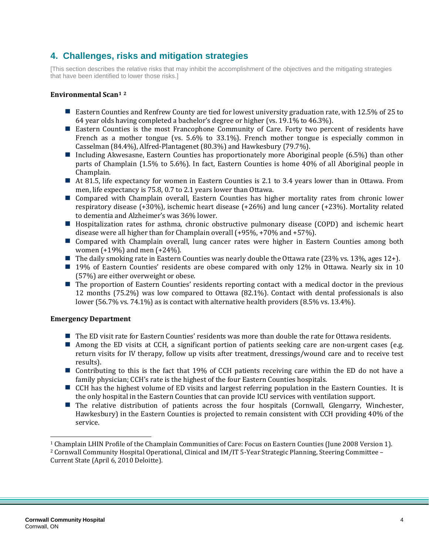### **4. Challenges, risks and mitigation strategies**

[This section describes the relative risks that may inhibit the accomplishment of the objectives and the mitigating strategies that have been identified to lower those risks.]

#### **Environmental Sca[n1](#page-3-0) [2](#page-3-1)**

- Eastern Counties and Renfrew County are tied for lowest university graduation rate, with 12.5% of 25 to 64 year olds having completed a bachelor's degree or higher (vs. 19.1% to 46.3%).
- Eastern Counties is the most Francophone Community of Care. Forty two percent of residents have French as a mother tongue (vs. 5.6% to 33.1%). French mother tongue is especially common in Casselman (84.4%), Alfred-Plantagenet (80.3%) and Hawkesbury (79.7%).
- Including Akwesasne, Eastern Counties has proportionately more Aboriginal people (6.5%) than other parts of Champlain (1.5% to 5.6%). In fact, Eastern Counties is home 40% of all Aboriginal people in Champlain.
- At 81.5, life expectancy for women in Eastern Counties is 2.1 to 3.4 years lower than in Ottawa. From men, life expectancy is 75.8, 0.7 to 2.1 years lower than Ottawa.
- Compared with Champlain overall, Eastern Counties has higher mortality rates from chronic lower respiratory disease (+30%), ischemic heart disease (+26%) and lung cancer (+23%). Mortality related to dementia and Alzheimer's was 36% lower.
- Hospitalization rates for asthma, chronic obstructive pulmonary disease (COPD) and ischemic heart disease were all higher than for Champlain overall (+95%, +70% and +57%).
- Compared with Champlain overall, lung cancer rates were higher in Eastern Counties among both women (+19%) and men (+24%).
- The daily smoking rate in Eastern Counties was nearly double the Ottawa rate (23% vs. 13%, ages 12+).
- **19%** of Eastern Counties' residents are obese compared with only 12% in Ottawa. Nearly six in 10 (57%) are either overweight or obese.
- The proportion of Eastern Counties' residents reporting contact with a medical doctor in the previous 12 months (75.2%) was low compared to Ottawa (82.1%). Contact with dental professionals is also lower (56.7% vs. 74.1%) as is contact with alternative health providers (8.5% vs. 13.4%).

#### **Emergency Department**

- The ED visit rate for Eastern Counties' residents was more than double the rate for Ottawa residents.
- Among the ED visits at CCH, a significant portion of patients seeking care are non-urgent cases (e.g. return visits for IV therapy, follow up visits after treatment, dressings/wound care and to receive test results).
- Contributing to this is the fact that 19% of CCH patients receiving care within the ED do not have a family physician; CCH's rate is the highest of the four Eastern Counties hospitals.
- CCH has the highest volume of ED visits and largest referring population in the Eastern Counties. It is the only hospital in the Eastern Counties that can provide ICU services with ventilation support.
- The relative distribution of patients across the four hospitals (Cornwall, Glengarry, Winchester, Hawkesbury) in the Eastern Counties is projected to remain consistent with CCH providing 40% of the service.

j

<span id="page-3-1"></span><span id="page-3-0"></span><sup>1</sup> Champlain LHIN Profile of the Champlain Communities of Care: Focus on Eastern Counties (June 2008 Version 1). <sup>2</sup> Cornwall Community Hospital Operational, Clinical and IM/IT 5-Year Strategic Planning, Steering Committee – Current State (April 6, 2010 Deloitte).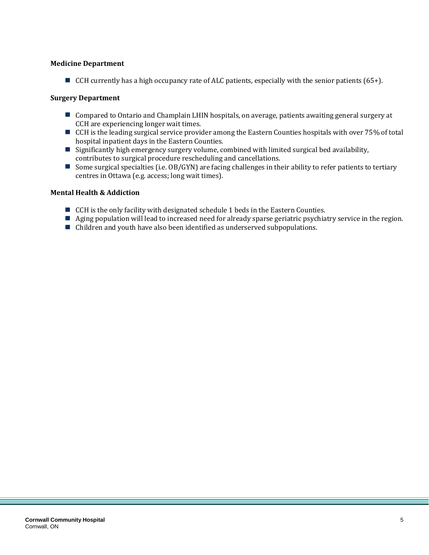#### **Medicine Department**

CCH currently has a high occupancy rate of ALC patients, especially with the senior patients  $(65+)$ .

#### **Surgery Department**

- Compared to Ontario and Champlain LHIN hospitals, on average, patients awaiting general surgery at CCH are experiencing longer wait times.
- CCH is the leading surgical service provider among the Eastern Counties hospitals with over 75% of total hospital inpatient days in the Eastern Counties.
- $\blacksquare$  Significantly high emergency surgery volume, combined with limited surgical bed availability, contributes to surgical procedure rescheduling and cancellations.
- Some surgical specialties (i.e.  $OB/GYN$ ) are facing challenges in their ability to refer patients to tertiary centres in Ottawa (e.g. access; long wait times).

#### **Mental Health & Addiction**

- CCH is the only facility with designated schedule 1 beds in the Eastern Counties.
- Aging population will lead to increased need for already sparse geriatric psychiatry service in the region.
- Children and youth have also been identified as underserved subpopulations.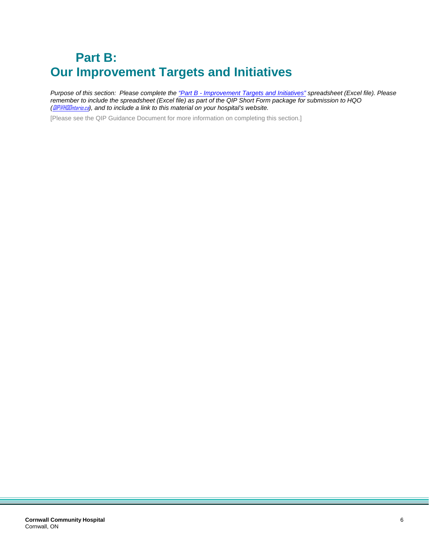# **Part B: Our Improvement Targets and Initiatives**

*Purpose of this section: Please complete the "Part B - [Improvement Targets and Initiatives"](http://www.health.gov.on.ca/en/ms/ecfa/pro/updates/qualityimprove/qip_update_20111122.xls) spreadsheet (Excel file). Please remember to include the spreadsheet (Excel file) as part of the QIP Short Form package for submission to HQO (*[QIP@HQOntario.ca](mailto:QIP@HQOntario.ca)*), and to include a link to this material on your hospital's website.*

[Please see the QIP Guidance Document for more information on completing this section.]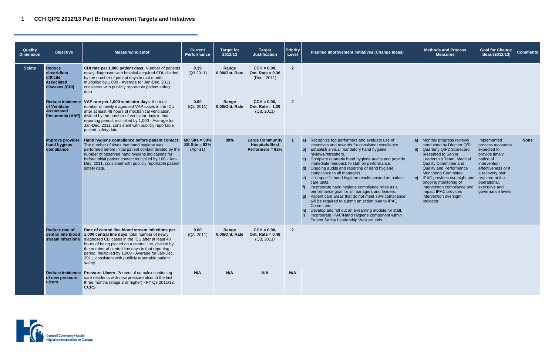| <b>Methods and Process</b><br><b>Measures</b>                                                                                                                                                                                                                                                                                                                                                            | <b>Goal for Change</b><br>Ideas (2012/13)                                                                                                                                                                         | <b>Comments</b> |
|----------------------------------------------------------------------------------------------------------------------------------------------------------------------------------------------------------------------------------------------------------------------------------------------------------------------------------------------------------------------------------------------------------|-------------------------------------------------------------------------------------------------------------------------------------------------------------------------------------------------------------------|-----------------|
|                                                                                                                                                                                                                                                                                                                                                                                                          |                                                                                                                                                                                                                   |                 |
|                                                                                                                                                                                                                                                                                                                                                                                                          |                                                                                                                                                                                                                   |                 |
| a)<br>Monthly progress reviews<br>conducted by Director Q/R.<br>Quarterly QIP2 Scorecard<br>b)<br>presented to Senior<br>Leadership Team, Medical<br><b>Quality Committee and</b><br><b>Quality and Performance</b><br>Monitoring Committee.<br>IPAC provides oversight and<br>c)<br>ongoing monitoring of<br>intervention compliance and<br>impact IPAC provides<br>intervention oversight<br>Indicator | Implemented<br>process measures<br>expected to<br>provide timely<br>notice of<br>intervention<br>effectiveness or if<br>a recovery plan<br>required at the<br>operational,<br>executive and<br>governance levels. | <b>None</b>     |
|                                                                                                                                                                                                                                                                                                                                                                                                          |                                                                                                                                                                                                                   |                 |
|                                                                                                                                                                                                                                                                                                                                                                                                          |                                                                                                                                                                                                                   |                 |

| <b>Quality</b><br><b>Dimension</b> | <b>Objective</b>                                                          | <b>Measure/Indicator</b>                                                                                                                                                                                                                                                                                                                                                                                                     | <b>Current</b><br>Performance                     | <b>Target for</b><br>2012/13 | <b>Target</b><br><b>Justification</b>                                  | <b>Priority</b><br>Level | Planned Improvement Initiatives (Change Ideas)                                                                                                                                                                                                                                                                                                                                                                                                                                                                                                                                                                                                                                                                                                                                                                                                                                                  | <b>Methods and Process</b><br><b>Measures</b>                                                                                                                                                                                                                                                                                                                                                 |
|------------------------------------|---------------------------------------------------------------------------|------------------------------------------------------------------------------------------------------------------------------------------------------------------------------------------------------------------------------------------------------------------------------------------------------------------------------------------------------------------------------------------------------------------------------|---------------------------------------------------|------------------------------|------------------------------------------------------------------------|--------------------------|-------------------------------------------------------------------------------------------------------------------------------------------------------------------------------------------------------------------------------------------------------------------------------------------------------------------------------------------------------------------------------------------------------------------------------------------------------------------------------------------------------------------------------------------------------------------------------------------------------------------------------------------------------------------------------------------------------------------------------------------------------------------------------------------------------------------------------------------------------------------------------------------------|-----------------------------------------------------------------------------------------------------------------------------------------------------------------------------------------------------------------------------------------------------------------------------------------------------------------------------------------------------------------------------------------------|
| <b>Safety</b>                      | <b>Reduce</b><br>clostridium<br>difficile<br>associated<br>diseases (CDI) | CDI rate per 1,000 patient days: Number of patients<br>newly diagnosed with hospital-acquired CDI, divided<br>by the number of patient days in that month,<br>multiplied by 1,000 - Average for Jan-Dec. 2011,<br>consistent with publicly reportable patient safety<br>data.                                                                                                                                                | 0.19<br>(Q3, 2011)                                | Range<br>0.00/Ont. Rate      | $CCH = 0.00,$<br>Ont. Rate = $0.36$<br>$(Dec - 2011)$                  | $\overline{2}$           |                                                                                                                                                                                                                                                                                                                                                                                                                                                                                                                                                                                                                                                                                                                                                                                                                                                                                                 |                                                                                                                                                                                                                                                                                                                                                                                               |
|                                    | of Ventilator<br><b>Associated</b>                                        | Reduce incidence VAP rate per 1,000 ventilator days: the total<br>number of newly diagnosed VAP cases in the ICU<br>after at least 48 hours of mechanical ventilation,<br><b>Pneumonia (VAP)</b> divided by the number of ventilator days in that<br>reporting period, multiplied by 1,000 - Average for<br>Jan-Dec. 2011, consistent with publicly reportable<br>patient safety data.                                       | 0.00<br>(Q3, 2011)                                | Range<br>0.00/Ont. Rate      | $CCH = 0.00$ ,<br>Ont. Rate = $1.26$<br>(Q3, 2011)                     | $\overline{2}$           |                                                                                                                                                                                                                                                                                                                                                                                                                                                                                                                                                                                                                                                                                                                                                                                                                                                                                                 |                                                                                                                                                                                                                                                                                                                                                                                               |
|                                    | Improve provider<br>hand hygiene<br>compliance                            | Hand hygiene compliance before patient contact:<br>The number of times that hand hygiene was<br>performed before initial patient contact divided by the<br>number of observed hand hygiene indications for<br>before initial patient contact multiplied by 100 - Jan-<br>Dec. 2011, consistent with publicly reportable patient<br>safety data.                                                                              | $MC$ Site = 59%<br>SS Site = $82\%$<br>$(Apr-11)$ | 80%                          | <b>Large Community</b><br><b>Hospitals Best</b><br>Performers = $92\%$ |                          | Recognize top performers and evaluate use of<br>a)<br>incentives and rewards for consistent excellence.<br>b) Establish annual mandatory hand hygiene<br>reviews/refreshers.<br>Complete quarterly hand hygiene audits and provide<br>$\mathbf{c}$<br>immediate feedback to staff on performance.<br>Ongoing audits and reporting of hand hygiene<br>$\mathbf{d}$<br>compliance to all managers.<br>Unit specific hand hygiene results posted on patient<br>$\epsilon$<br>care units.<br>Incorporate hand hygiene compliance rates as a<br>performance goal for all managers and leaders.<br>g) Patient care areas that do not meet 70% compliance<br>will be required to submit an action plan to IPAC<br>Committee.<br>Develop and roll out an e-learning module for staff.<br>$\mathbf{h}$<br>Incorporate IPAC/Hand Hygiene component within<br>i)<br>Patient Safety Leadership Walkarounds. | Monthly progress review<br>$\mathsf{a}$<br>conducted by Director Q<br>b) Quarterly QIP2 Scorecar<br>presented to Senior<br>Leadership Team, Medic<br><b>Quality Committee and</b><br><b>Quality and Performance</b><br>Monitoring Committee.<br>c) IPAC provides oversight<br>ongoing monitoring of<br>intervention compliance<br>impact IPAC provides<br>intervention oversight<br>Indicator |
|                                    | Reduce rate of                                                            | Rate of central line blood stream infections per<br>central line blood 1,000 central line days: total number of newly<br>stream infections diagnosed CLI cases in the ICU after at least 48<br>hours of being placed on a central line, divided by<br>the number of central line days in that reporting<br>period, multiplied by 1,000 - Average for Jan-Dec.<br>2011, consistent with publicly reportable patient<br>safety | 0.00<br>(Q3, 2011)                                | Range<br>0.00/Ont. Rate      | $CCH = 0.00$ ,<br>Ont. Rate = $0.48$<br>(Q3, 2011)                     | $\overline{2}$           |                                                                                                                                                                                                                                                                                                                                                                                                                                                                                                                                                                                                                                                                                                                                                                                                                                                                                                 |                                                                                                                                                                                                                                                                                                                                                                                               |
|                                    | of new pressure<br>ulcers                                                 | Reduce incidence Pressure Ulcers: Percent of complex continuing<br>care residents with new pressure ulcer in the last<br>three months (stage 2 or higher) - FY Q3 2011/12,<br><b>CCRS</b>                                                                                                                                                                                                                                    | N/A                                               | N/A                          | N/A                                                                    | N/A                      |                                                                                                                                                                                                                                                                                                                                                                                                                                                                                                                                                                                                                                                                                                                                                                                                                                                                                                 |                                                                                                                                                                                                                                                                                                                                                                                               |

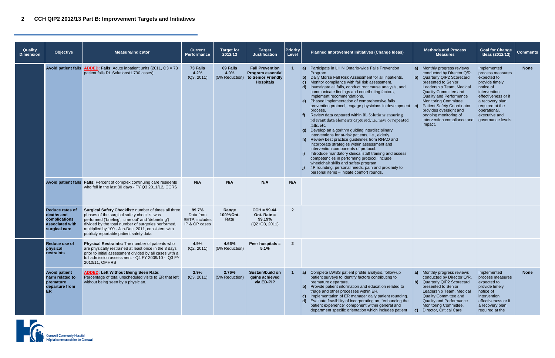## **2 CCH QIP2 2012/13 Part B: Improvement Targets and Initiatives**

| <b>Quality</b><br><b>Dimension</b> | <b>Objective</b>                                                                          | <b>Measure/Indicator</b>                                                                                                                                                                                                                                                                                           | <b>Current</b><br><b>Performance</b>                                                                                                                                   | <b>Target for</b><br>2012/13       | Target<br><b>Justification</b>                                                               | <b>Priority</b><br>Level | <b>Methods and Process</b><br>Planned Improvement Initiatives (Change Ideas)<br><b>Measures</b>                                                                                                                                                                                                                                                                                                                                                                                                                                                                                                                                                                                                                                                                                                                                                                                                                                                                                                                                                                                                                                                                                                                                                                                                                                                                                                                                                                                                |
|------------------------------------|-------------------------------------------------------------------------------------------|--------------------------------------------------------------------------------------------------------------------------------------------------------------------------------------------------------------------------------------------------------------------------------------------------------------------|------------------------------------------------------------------------------------------------------------------------------------------------------------------------|------------------------------------|----------------------------------------------------------------------------------------------|--------------------------|------------------------------------------------------------------------------------------------------------------------------------------------------------------------------------------------------------------------------------------------------------------------------------------------------------------------------------------------------------------------------------------------------------------------------------------------------------------------------------------------------------------------------------------------------------------------------------------------------------------------------------------------------------------------------------------------------------------------------------------------------------------------------------------------------------------------------------------------------------------------------------------------------------------------------------------------------------------------------------------------------------------------------------------------------------------------------------------------------------------------------------------------------------------------------------------------------------------------------------------------------------------------------------------------------------------------------------------------------------------------------------------------------------------------------------------------------------------------------------------------|
|                                    |                                                                                           | Avoid patient falls $ADDED$ : Falls: Acute inpatient units (2011, $Q3 = 73$<br>patient falls RL Solutions/1,730 cases)                                                                                                                                                                                             | 73 Falls<br>4.2%<br>(Q3, 2011)                                                                                                                                         | 69 Falls<br>4.0%<br>(5% Reduction) | <b>Fall Prevention</b><br><b>Program essential</b><br>to Senior Friendly<br><b>Hospitals</b> |                          | a) Participate in LHIN Ontario-wide Falls Prevention<br>Monthly progress review<br>a)<br>Program.<br>conducted by Director Q<br>Daily Morse Fall Risk Assessment for all inpatients.<br>b) Quarterly QIP2 Scorecar<br>b)<br>Monitor compliance with fall risk assessment.<br>presented to Senior<br>$\mathbf{c}$<br>Investigate all falls, conduct root cause analysis, and<br>Leadership Team, Medio<br>$\mathbf{d}$<br>communicate findings and contributing factors,<br>Quality Committee and<br>implement recommendations.<br><b>Quality and Performance</b><br>e) Phased implementation of comprehensive falls<br>Monitoring Committee.<br><b>Patient Safety Coordinat</b><br>prevention protocol, engage physicians in development c)<br>provides oversight and<br>process.<br>ongoing monitoring of<br>Review data captured within RL Solutions ensuring<br>intervention compliance<br>relevant data elements captured, i.e., new or repeated<br>impact.<br>falls, etc.<br>Develop an algorithm guiding interdisciplinary<br>q)<br>interventions for at-risk patients, i.e., elderly.<br>h) Review best practice guidelines from RNAO and<br>incorporate strategies within assessment and<br>intervention components of protocol.<br>Introduce mandatory clinical staff training and assess<br>competencies in performing protocol, include<br>wheelchair skills and safety program.<br>4P rounding: personal needs, pain and proximity to<br>personal items - initiate comfort rounds. |
|                                    |                                                                                           | Avoid patient falls   Falls: Percent of complex continuing care residents<br>who fell in the last 30 days - FY Q3 2011/12, CCRS                                                                                                                                                                                    | N/A                                                                                                                                                                    | N/A                                | N/A                                                                                          | N/A                      |                                                                                                                                                                                                                                                                                                                                                                                                                                                                                                                                                                                                                                                                                                                                                                                                                                                                                                                                                                                                                                                                                                                                                                                                                                                                                                                                                                                                                                                                                                |
|                                    | <b>Reduce rates of</b><br>deaths and<br>complications<br>associated with<br>surgical care | Surgical Safety Checklist: number of times all three<br>phases of the surgical safety checklist was<br>performed ('briefing', 'time out' and 'debriefing')<br>divided by the total number of surgeries performed,<br>multiplied by 100 - Jan-Dec. 2011, consistent with<br>publicly reportable patient safety data | 99.7%<br>$\overline{2}$<br>$CCH = 99.44$ ,<br>Range<br>100%/Ont.<br>Ont. Rate $=$<br>Data from<br>Rate<br>99.19%<br>SETP, includes<br>IP & OP cases<br>$(Q2+Q3, 2011)$ |                                    |                                                                                              |                          |                                                                                                                                                                                                                                                                                                                                                                                                                                                                                                                                                                                                                                                                                                                                                                                                                                                                                                                                                                                                                                                                                                                                                                                                                                                                                                                                                                                                                                                                                                |
|                                    | Reduce use of<br>physical<br>restraints                                                   | Physical Restraints: The number of patients who<br>are physically restrained at least once in the 3 days<br>prior to initial assessment divided by all cases with a<br>full admission assessment - Q4 FY 2009/10 - Q3 FY<br>2010/11, OMHRS                                                                         | 4.9%<br>(Q2, 2011)                                                                                                                                                     | 4.66%<br>(5% Reduction)            | Peer hospitals =<br>5.1%                                                                     | $\mathbf{2}$             |                                                                                                                                                                                                                                                                                                                                                                                                                                                                                                                                                                                                                                                                                                                                                                                                                                                                                                                                                                                                                                                                                                                                                                                                                                                                                                                                                                                                                                                                                                |
|                                    | <b>Avoid patient</b><br>harm related to<br>premature<br>departure from<br><b>ER</b>       | <b>ADDED: Left Without Being Seen Rate:</b><br>Percentage of total unscheduled visits to ER that left<br>without being seen by a physician.                                                                                                                                                                        | 2.9%<br>(Q3, 2011)                                                                                                                                                     | 2.76%<br>(5% Reduction)            | Sustain/build on<br>gains achieved<br>via ED-PIP                                             |                          | a) Complete LWBS patient profile analysis, follow-up<br>Monthly progress review<br>a)<br>patient surveys to identify factors contributing to<br>conducted by Director Q<br>premature departure.<br><b>Quarterly QIP2 Scorecar</b><br>$\mathbf{b}$<br>Provide patient information and education related to<br>presented to Senior<br>b)<br>triage and other processes within ER.<br>Leadership Team, Medic<br>c) Implementation of ER manager daily patient rounding.<br>Quality Committee and<br>Evaluate feasibility of incorporating an, "enhancing the<br><b>Quality and Performance</b><br>d)<br>patient experience" component within general and<br>Monitoring Committee.<br>department specific orientation which includes patient<br>Director, Critical Care<br>$\mathbf{C}$                                                                                                                                                                                                                                                                                                                                                                                                                                                                                                                                                                                                                                                                                                            |



|   |                                                                                                                                                                                                                                                                                                                                                                                                | <b>Methods and Process</b><br><b>Measures</b>                                                                                                                                                                                                               | <b>Goal for Change</b><br>Ideas (2012/13)                                                                                                                                                                         | <b>Comments</b> |
|---|------------------------------------------------------------------------------------------------------------------------------------------------------------------------------------------------------------------------------------------------------------------------------------------------------------------------------------------------------------------------------------------------|-------------------------------------------------------------------------------------------------------------------------------------------------------------------------------------------------------------------------------------------------------------|-------------------------------------------------------------------------------------------------------------------------------------------------------------------------------------------------------------------|-----------------|
| t | a)<br>Monthly progress reviews<br>conducted by Director Q/R.<br>$\mathbf{b}$<br>Quarterly QIP2 Scorecard<br>presented to Senior<br>Leadership Team, Medical<br><b>Quality Committee and</b><br><b>Quality and Performance</b><br>Monitoring Committee.<br><b>Patient Safety Coordinator</b><br>c)<br>provides oversight and<br>ongoing monitoring of<br>intervention compliance and<br>impact. |                                                                                                                                                                                                                                                             | Implemented<br>process measures<br>expected to<br>provide timely<br>notice of<br>intervention<br>effectiveness or if<br>a recovery plan<br>required at the<br>operational,<br>executive and<br>governance levels. | <b>None</b>     |
|   |                                                                                                                                                                                                                                                                                                                                                                                                |                                                                                                                                                                                                                                                             |                                                                                                                                                                                                                   |                 |
|   |                                                                                                                                                                                                                                                                                                                                                                                                |                                                                                                                                                                                                                                                             |                                                                                                                                                                                                                   |                 |
|   |                                                                                                                                                                                                                                                                                                                                                                                                |                                                                                                                                                                                                                                                             |                                                                                                                                                                                                                   |                 |
|   | a)<br>b)<br>C)                                                                                                                                                                                                                                                                                                                                                                                 | Monthly progress reviews<br>conducted by Director Q/R.<br>Quarterly QIP2 Scorecard<br>presented to Senior<br>Leadership Team, Medical<br><b>Quality Committee and</b><br><b>Quality and Performance</b><br>Monitoring Committee.<br>Director, Critical Care | Implemented<br>process measures<br>expected to<br>provide timely<br>notice of<br>intervention<br>effectiveness or if<br>a recovery plan<br>required at the                                                        | <b>None</b>     |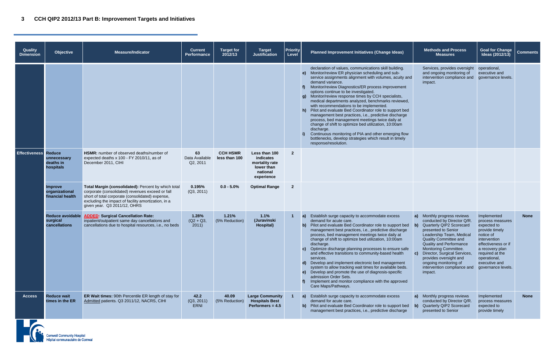| <b>Quality</b><br><b>Dimension</b> | <b>Objective</b>                                     | <b>Measure/Indicator</b>                                                                                                                                                                                                                           | <b>Current</b><br>Performance     | <b>Target for</b><br>2012/13     | <b>Target</b><br><b>Justification</b>                                                | <b>Priority</b><br>Level | <b>Methods and Process</b><br><b>Goal for Change</b><br>Planned Improvement Initiatives (Change Ideas)<br>Ideas (2012/13)<br><b>Measures</b>                                                                                                                                                                                                                                                                                                                                                                                                                                                                                                                                                                                                                                                                                                                                                                                                                                                                                                                                                                                                                                                                                                                                                                                                               | <b>Comments</b> |
|------------------------------------|------------------------------------------------------|----------------------------------------------------------------------------------------------------------------------------------------------------------------------------------------------------------------------------------------------------|-----------------------------------|----------------------------------|--------------------------------------------------------------------------------------|--------------------------|------------------------------------------------------------------------------------------------------------------------------------------------------------------------------------------------------------------------------------------------------------------------------------------------------------------------------------------------------------------------------------------------------------------------------------------------------------------------------------------------------------------------------------------------------------------------------------------------------------------------------------------------------------------------------------------------------------------------------------------------------------------------------------------------------------------------------------------------------------------------------------------------------------------------------------------------------------------------------------------------------------------------------------------------------------------------------------------------------------------------------------------------------------------------------------------------------------------------------------------------------------------------------------------------------------------------------------------------------------|-----------------|
|                                    |                                                      |                                                                                                                                                                                                                                                    |                                   |                                  |                                                                                      |                          | declaration of values, communications skill building.<br>Services, provides oversight<br>operational,<br>e) Monitor/review ER physician scheduling and sub-<br>and ongoing monitoring of<br>executive and<br>service assignments alignment with volumes, acuity and<br>intervention compliance and<br>governance levels.<br>demand variance.<br>impact.<br>Monitor/review Diagnostics/ER process improvement<br>options continue to be investigated.<br>Monitor/review response times by CCH specialists,<br><b>g</b> )<br>medical departments analyzed, benchmarks reviewed,<br>with recommendations to be implemented.<br>h) Pilot and evaluate Bed Coordinator role to support bed<br>management best practices, i.e., predictive discharge<br>process, bed management meetings twice daily at<br>change of shift to optimize bed utilization, 10:00am<br>discharge.<br>Continuous monitoring of PIA and other emerging flow<br>bottlenecks, develop strategies which result in timely<br>response/resolution.                                                                                                                                                                                                                                                                                                                                          |                 |
| <b>Effectiveness Reduce</b>        | unnecessary<br>deaths in<br>hospitals                | HSMR: number of observed deaths/number of<br>expected deaths x 100 - FY 2010/11, as of<br>December 2011, CIHI                                                                                                                                      | 63<br>Data Available<br>Q2, 2011  | <b>CCH HSMR</b><br>less than 100 | Less than 100<br>indicates<br>mortality rate<br>lower than<br>national<br>experience | $\overline{2}$           |                                                                                                                                                                                                                                                                                                                                                                                                                                                                                                                                                                                                                                                                                                                                                                                                                                                                                                                                                                                                                                                                                                                                                                                                                                                                                                                                                            |                 |
|                                    | <b>Improve</b><br>organizational<br>financial health | Total Margin (consolidated): Percent by which total<br>corporate (consolidated) revenues exceed or fall<br>short of total corporate (consolidated) expense,<br>excluding the impact of facility amortization, in a<br>given year. Q3 2011/12, OHRS | 0.195%<br>(Q3, 2011)              | $0.0 - 5.0\%$                    | <b>Optimal Range</b>                                                                 | $\overline{\mathbf{2}}$  |                                                                                                                                                                                                                                                                                                                                                                                                                                                                                                                                                                                                                                                                                                                                                                                                                                                                                                                                                                                                                                                                                                                                                                                                                                                                                                                                                            |                 |
|                                    | <b>Reduce avoidable</b><br>surgical<br>cancellations | <b>ADDED: Surgical Cancellation Rate:</b><br>inpatient/outpatient same day cancellations and<br>cancellations due to hospital resources, i.e., no beds                                                                                             | 1.28%<br>$(Q2 + Q3)$<br>2011      | 1.21%<br>(5% Reduction)          | 1.1%<br>(Juravinski<br><b>Hospital</b> )                                             | $\blacktriangleleft$     | a) Establish surge capacity to accommodate excess<br>Monthly progress reviews<br>a)<br>Implemented<br>demand for acute care.<br>conducted by Director Q/R.<br>process measures<br>b) Pilot and evaluate Bed Coordinator role to support bed<br>Quarterly QIP2 Scorecard<br>expected to<br>management best practices, i.e., predictive discharge<br>presented to Senior<br>provide timely<br>process, bed management meetings twice daily at<br>Leadership Team, Medical<br>notice of<br>change of shift to optimize bed utilization, 10:00am<br>Quality Committee and<br>intervention<br>discharge.<br><b>Quality and Performance</b><br>effectiveness or if<br>c) Optimize discharge planning processes to ensure safe<br>Monitoring Committee.<br>a recovery plan<br>and effective transitions to community-based health<br>Director, Surgical Services,<br>required at the<br>$\mathbf{C}$<br>provides oversight and<br>operational,<br>services.<br>Develop and implement electronic bed management<br>executive and<br>ongoing monitoring of<br>$\mathbf{d}$<br>system to allow tracking wait times for available beds.<br>intervention compliance and<br>governance levels.<br>e) Develop and promote the use of diagnosis-specific<br>impact.<br>admission Order Sets.<br>Implement and monitor compliance with the approved<br>Care Maps/Pathways. | <b>None</b>     |
| <b>Access</b>                      | <b>Reduce wait</b><br>times in the ER                | ER Wait times: 90th Percentile ER length of stay for<br>Admitted patients. Q3 2011/12, NACRS, CIHI                                                                                                                                                 | 42.2<br>(Q3, 2011)<br><b>ERNI</b> | 40.09<br>(5% Reduction)          | <b>Large Community</b><br><b>Hospitals Best</b><br>Performers = $4.5$                |                          | a) Establish surge capacity to accommodate excess<br>a) Monthly progress reviews<br>Implemented<br>conducted by Director Q/R.<br>demand for acute care.<br>process measures<br>b) Pilot and evaluate Bed Coordinator role to support bed<br>Quarterly QIP2 Scorecard<br>expected to<br>$\mathbf{b}$<br>management best practices, i.e., predictive discharge<br>presented to Senior<br>provide timely                                                                                                                                                                                                                                                                                                                                                                                                                                                                                                                                                                                                                                                                                                                                                                                                                                                                                                                                                      | <b>None</b>     |

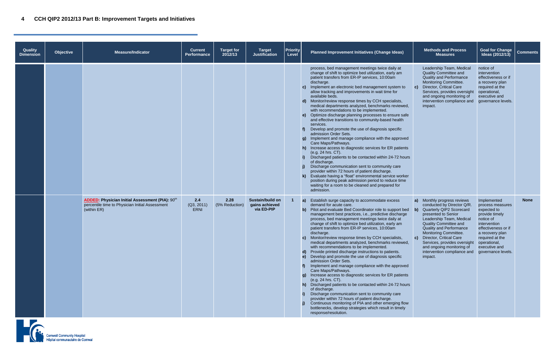| Quality<br><b>Dimension</b> | <b>Objective</b> | <b>Measure/Indicator</b>                                                                                                             | <b>Current</b><br><b>Performance</b> | Target for<br>2012/13  | <b>Target</b><br><b>Justification</b>                   | <b>Priority</b><br>Level | Planned Improvement Initiatives (Change Ideas)                                                                                                                                                                                                                                                                                                                                                                                                                                                                                                                                                                                                                                                                                                                                                                                                                                                                                                                                                                                                                                                                                                                                                                                                  |                                    | <b>Methods and Process</b><br><b>Measures</b>                                                                                                                                                                                                                                                                                                    |
|-----------------------------|------------------|--------------------------------------------------------------------------------------------------------------------------------------|--------------------------------------|------------------------|---------------------------------------------------------|--------------------------|-------------------------------------------------------------------------------------------------------------------------------------------------------------------------------------------------------------------------------------------------------------------------------------------------------------------------------------------------------------------------------------------------------------------------------------------------------------------------------------------------------------------------------------------------------------------------------------------------------------------------------------------------------------------------------------------------------------------------------------------------------------------------------------------------------------------------------------------------------------------------------------------------------------------------------------------------------------------------------------------------------------------------------------------------------------------------------------------------------------------------------------------------------------------------------------------------------------------------------------------------|------------------------------------|--------------------------------------------------------------------------------------------------------------------------------------------------------------------------------------------------------------------------------------------------------------------------------------------------------------------------------------------------|
|                             |                  |                                                                                                                                      |                                      |                        |                                                         |                          | process, bed management meetings twice daily at<br>change of shift to optimize bed utilization, early am<br>patient transfers from ER-IP services, 10:00am<br>discharge.<br>Implement an electronic bed management system to<br>$\mathbf{C}$<br>allow tracking and improvements in wait time for<br>available beds.<br>Monitor/review response times by CCH specialists,<br>$\mathsf{d}$<br>medical departments analyzed, benchmarks reviewed,<br>with recommendations to be implemented.<br>e) Optimize discharge planning processes to ensure safe<br>and effective transitions to community-based health<br>services.<br>Develop and promote the use of diagnosis specific<br>admission Order Sets.<br>Implement and manage compliance with the approved<br>g)<br>Care Maps/Pathways.<br>h) Increase access to diagnostic services for ER patients<br>(e.g. 24 hrs. CT).<br>Discharged patients to be contacted within 24-72 hours<br>of discharge.<br>Discharge communication sent to community care<br>provider within 72 hours of patient discharge.<br>Evaluate having a "float" environmental service worker<br>position during peak admission period to reduce time<br>waiting for a room to be cleaned and prepared for<br>admission. | $\mathbf{c}$                       | Leadership Team, Medic<br>Quality Committee and<br><b>Quality and Performance</b><br>Monitoring Committee.<br><b>Director, Critical Care</b><br>Services, provides overs<br>and ongoing monitoring<br>intervention compliance<br>impact.                                                                                                         |
|                             |                  | <b>ADDED:</b> Physician Initial Assessment (PIA): 90 <sup>th</sup><br>percentile time to Physician Initial Assessment<br>(within ER) | 2.4<br>(Q3, 2011)<br><b>ERNI</b>     | 2.28<br>(5% Reduction) | <b>Sustain/build on</b><br>gains achieved<br>via ED-PIP | $\mathbf{1}$             | Establish surge capacity to accommodate excess<br>$\vert a \rangle$<br>demand for acute care.<br>Pilot and evaluate Bed Coordinator role to support bed<br>b)<br>management best practices, i.e., predictive discharge<br>process, bed management meetings twice daily at<br>change of shift to optimize bed utilization, early am<br>patient transfers from ER-IP services, 10:00am<br>discharge.<br>Monitor/review response times by CCH specialists,<br>medical departments analyzed, benchmarks reviewed,<br>with recommendations to be implemented.<br>Provide printed discharge instructions to patients.<br>$\mathbf{d}$<br>Develop and promote the use of diagnosis specific<br>$\epsilon$<br>admission Order Sets.<br>Implement and manage compliance with the approved<br>Care Maps/Pathways.<br>g) Increase access to diagnostic services for ER patients<br>(e.g. 24 hrs. CT).<br>h) Discharged patients to be contacted within 24-72 hours<br>of discharge.<br>Discharge communication sent to community care<br>provider within 72 hours of patient discharge.<br>Continuous monitoring of PIA and other emerging flow<br>bottlenecks, develop strategies which result in timely<br>response/resolution.                          | a)<br>$\mathbf{b}$<br>$\mathbf{c}$ | Monthly progress review<br>conducted by Director Q<br>Quarterly QIP2 Scorecar<br>presented to Senior<br>Leadership Team, Medio<br><b>Quality Committee and</b><br><b>Quality and Performance</b><br>Monitoring Committee.<br>Director, Critical Care<br>Services, provides overs<br>and ongoing monitoring<br>intervention compliance<br>impact. |



|   |                | <b>Methods and Process</b><br><b>Measures</b>                                                                                                                                                                                                                                                                                                                      | <b>Goal for Change</b><br>Ideas (2012/13)                                                                                                                                                                         | <b>Comments</b> |
|---|----------------|--------------------------------------------------------------------------------------------------------------------------------------------------------------------------------------------------------------------------------------------------------------------------------------------------------------------------------------------------------------------|-------------------------------------------------------------------------------------------------------------------------------------------------------------------------------------------------------------------|-----------------|
| s | c)             | Leadership Team, Medical<br><b>Quality Committee and</b><br><b>Quality and Performance</b><br>Monitoring Committee.<br>Director, Critical Care<br>Services, provides oversight<br>and ongoing monitoring of<br>intervention compliance and<br>impact.                                                                                                              | notice of<br>intervention<br>effectiveness or if<br>a recovery plan<br>required at the<br>operational,<br>executive and<br>governance levels.                                                                     |                 |
| s | a)<br>b)<br>c) | Monthly progress reviews<br>conducted by Director Q/R.<br>Quarterly QIP2 Scorecard<br>presented to Senior<br>Leadership Team, Medical<br><b>Quality Committee and</b><br><b>Quality and Performance</b><br>Monitoring Committee.<br>Director, Critical Care<br>Services, provides oversight<br>and ongoing monitoring of<br>intervention compliance and<br>impact. | Implemented<br>process measures<br>expected to<br>provide timely<br>notice of<br>intervention<br>effectiveness or if<br>a recovery plan<br>required at the<br>operational,<br>executive and<br>governance levels. | None            |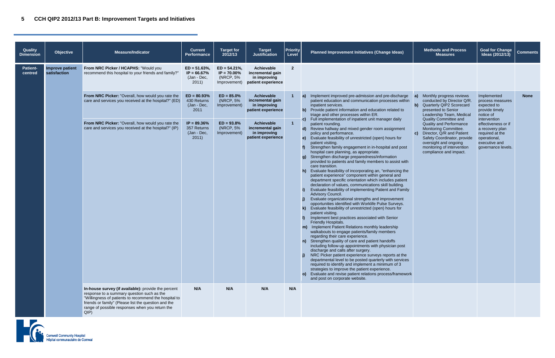| <b>Quality</b><br><b>Dimension</b> | <b>Objective</b>                | <b>Measure/Indicator</b>                                                                                                                                                                                                                                                     | <b>Current</b><br>Performance                            | <b>Target for</b><br>2012/13                                   | <b>Target</b><br><b>Justification</b>                                | <b>Priority</b><br>Level | Planned Improvement Initiatives (Change Ideas)                                                                                                                                                                                                                                                                                                                                                                                                                                                                                                                                                                                                                                                                                                                                                                                                                                                                                                                                                                                                                                                                                                                                                                                                                                                                                                                                                                                                                                                                                                                                                                                                        | <b>Methods and Process</b><br><b>Measures</b>                                                                                                                                                    | <b>Goal for Change</b><br>Ideas (2012/13)                                                                        | <b>Comments</b> |
|------------------------------------|---------------------------------|------------------------------------------------------------------------------------------------------------------------------------------------------------------------------------------------------------------------------------------------------------------------------|----------------------------------------------------------|----------------------------------------------------------------|----------------------------------------------------------------------|--------------------------|-------------------------------------------------------------------------------------------------------------------------------------------------------------------------------------------------------------------------------------------------------------------------------------------------------------------------------------------------------------------------------------------------------------------------------------------------------------------------------------------------------------------------------------------------------------------------------------------------------------------------------------------------------------------------------------------------------------------------------------------------------------------------------------------------------------------------------------------------------------------------------------------------------------------------------------------------------------------------------------------------------------------------------------------------------------------------------------------------------------------------------------------------------------------------------------------------------------------------------------------------------------------------------------------------------------------------------------------------------------------------------------------------------------------------------------------------------------------------------------------------------------------------------------------------------------------------------------------------------------------------------------------------------|--------------------------------------------------------------------------------------------------------------------------------------------------------------------------------------------------|------------------------------------------------------------------------------------------------------------------|-----------------|
| <b>Patient-</b><br>centred         | Improve patient<br>satisfaction | From NRC Picker / HCAPHS: "Would you<br>recommend this hospital to your friends and family?'                                                                                                                                                                                 | $ED = 51.63\%,$<br>$IP = 66.67%$<br>(Jan - Dec,<br>2011) | $ED = 54.21\%$<br>$IP = 70.00\%$<br>(NRCP, 5%)<br>Improvement) | Achievable<br>incremental gain<br>in improving<br>patient experience | $\overline{2}$           |                                                                                                                                                                                                                                                                                                                                                                                                                                                                                                                                                                                                                                                                                                                                                                                                                                                                                                                                                                                                                                                                                                                                                                                                                                                                                                                                                                                                                                                                                                                                                                                                                                                       |                                                                                                                                                                                                  |                                                                                                                  |                 |
|                                    |                                 | From NRC Picker: "Overall, how would you rate the<br>care and services you received at the hospital?" (ED)                                                                                                                                                                   | $ED = 80.93%$<br>430 Returns<br>(Jan - Dec,<br>2011      | $ED = 85.0\%$<br>(NRCP, 5%)<br>Improvement)                    | Achievable<br>incremental gain<br>in improving<br>patient experience |                          | a) Implement improved pre-admission and pre-discharge<br>patient education and communication processes within<br>inpatient services.<br>b) Provide patient information and education related to<br>triage and other processes within ER.<br>c) Full implementation of inpatient unit manager daily                                                                                                                                                                                                                                                                                                                                                                                                                                                                                                                                                                                                                                                                                                                                                                                                                                                                                                                                                                                                                                                                                                                                                                                                                                                                                                                                                    | Monthly progress reviews<br>a)<br>conducted by Director Q/R.<br>b) Quarterly QIP2 Scorecard<br>presented to Senior<br>Leadership Team, Medical<br><b>Quality Committee and</b>                   | Implemented<br>process measures<br>expected to<br>provide timely<br>notice of<br>intervention                    | <b>None</b>     |
|                                    |                                 | From NRC Picker: "Overall, how would you rate the<br>care and services you received at the hospital?" (IP)                                                                                                                                                                   | $IP = 89.36\%$<br>357 Returns<br>(Jan - Dec,<br>2011     | $ED = 93.8%$<br>(NRCP, 5%<br>Improvement)                      | Achievable<br>incremental gain<br>in improving<br>patient experience |                          | patient rounding.<br>d) Review hallway and mixed gender room assignment<br>policy and performance.<br>e) Evaluate feasibility of unrestricted (open) hours for<br>patient visiting.<br>Strengthen family engagement in in-hospital and post<br>f<br>hospital care planning, as appropriate.<br>g) Strengthen discharge preparedness/information<br>provided to patients and family members to assist with<br>care transition.<br>h) Evaluate feasibility of incorporating an, "enhancing the<br>patient experience" component within general and<br>department specific orientation which includes patient<br>declaration of values, communications skill building.<br>Evaluate feasibility of implementing Patient and Family<br>Advisory Council.<br>Evaluate organizational strengths and improvement<br>opportunities identified with Worklife Pulse Surveys.<br>Evaluate feasibility of unrestricted (open) hours for<br>k)<br>patient visiting.<br>Implement best practices associated with Senior<br>Friendly Hospitals.<br>m) Implement Patient Relations monthly leadership<br>walkabouts to engage patients/family members<br>regarding their care experience.<br>n) Strengthen quality of care and patient handoffs<br>including follow-up appointments with physician post<br>discharge and calls after surgery.<br>NRC Picker patient experience surveys reports at the<br>departmental level to be posted quarterly with services<br>required to identify and implement a minimum of 3<br>strategies to improve the patient experience.<br>o) Evaluate and revise patient relations process/framework<br>and post on corporate website. | Quality and Performance<br>Monitoring Committee.<br>c) Director, Q/R and Patient<br>Safety Coordinator, provide<br>oversight and ongoing<br>monitoring of intervention<br>compliance and impact. | effectiveness or if<br>a recovery plan<br>required at the<br>operational,<br>executive and<br>governance levels. |                 |
|                                    |                                 | In-house survey (if available): provide the percent<br>response to a summary question such as the<br>"Willingness of patients to recommend the hospital to<br>friends or family" (Please list the question and the<br>range of possible responses when you return the<br>QIP | N/A                                                      | N/A                                                            | N/A                                                                  | N/A                      |                                                                                                                                                                                                                                                                                                                                                                                                                                                                                                                                                                                                                                                                                                                                                                                                                                                                                                                                                                                                                                                                                                                                                                                                                                                                                                                                                                                                                                                                                                                                                                                                                                                       |                                                                                                                                                                                                  |                                                                                                                  |                 |

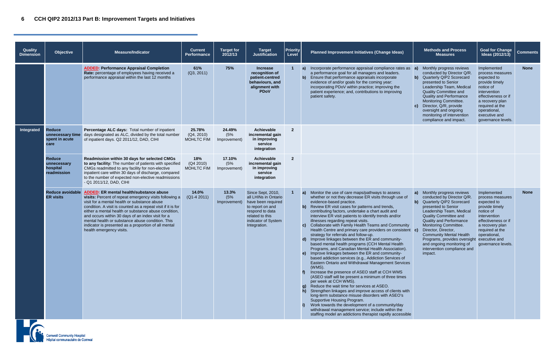## **6 CCH QIP2 2012/13 Part B: Improvement Targets and Initiatives**

| Quality<br><b>Dimension</b> | <b>Objective</b>                                            | <b>Measure/Indicator</b>                                                                                                                                                                                                                                                                                                                                                                                                                                                      | <b>Current</b><br><b>Performance</b>      | <b>Target for</b><br>2012/13  | <b>Target</b><br><b>Justification</b>                                                                                                                            | <b>Priority</b><br>Level |                                     | Planned Improvement Initiatives (Change Ideas)                                                                                                                                                                                                                                                                                                                                                                                                                                                                                                                                                                                                                                                                                                                                                                                                                                                                                                                                                                                                                                                                                                                                                                                                                                                                                                           |          | <b>Methods and Process</b><br><b>Measures</b>                                                                                                                                                                                                                                                                                                                            |
|-----------------------------|-------------------------------------------------------------|-------------------------------------------------------------------------------------------------------------------------------------------------------------------------------------------------------------------------------------------------------------------------------------------------------------------------------------------------------------------------------------------------------------------------------------------------------------------------------|-------------------------------------------|-------------------------------|------------------------------------------------------------------------------------------------------------------------------------------------------------------|--------------------------|-------------------------------------|----------------------------------------------------------------------------------------------------------------------------------------------------------------------------------------------------------------------------------------------------------------------------------------------------------------------------------------------------------------------------------------------------------------------------------------------------------------------------------------------------------------------------------------------------------------------------------------------------------------------------------------------------------------------------------------------------------------------------------------------------------------------------------------------------------------------------------------------------------------------------------------------------------------------------------------------------------------------------------------------------------------------------------------------------------------------------------------------------------------------------------------------------------------------------------------------------------------------------------------------------------------------------------------------------------------------------------------------------------|----------|--------------------------------------------------------------------------------------------------------------------------------------------------------------------------------------------------------------------------------------------------------------------------------------------------------------------------------------------------------------------------|
|                             |                                                             | <b>ADDED: Performance Appraisal Completion</b><br>Rate: percentage of employees having received a<br>performance appraisal within the last 12 months                                                                                                                                                                                                                                                                                                                          | 61%<br>(Q3, 2011)                         | 75%                           | <b>Increase</b><br>recognition of<br>patient-centred<br>behaviours, and<br>alignment with<br><b>PDoV</b>                                                         |                          | b)                                  | a) Incorporate performance appraisal compliance rates as<br>a performance goal for all managers and leaders.<br>Ensure that performance appraisals incorporate<br>evidence of and/or goals for the coming year:<br>incorporating PDoV within practice; improving the<br>patient experience; and, contributions to improving<br>patient safety.                                                                                                                                                                                                                                                                                                                                                                                                                                                                                                                                                                                                                                                                                                                                                                                                                                                                                                                                                                                                           | a)<br>C) | Monthly progress review<br>conducted by Director Q<br>b) Quarterly QIP2 Scorecar<br>presented to Senior<br>Leadership Team, Medio<br>Quality Committee and<br><b>Quality and Performance</b><br>Monitoring Committee.<br>Director, Q/R, provide<br>oversight and ongoing<br>monitoring of interventior<br>compliance and impact.                                         |
| Integrated                  | <b>Reduce</b><br>unnecessary time<br>spent in acute<br>care | Percentage ALC days: Total number of inpatient<br>days designated as ALC, divided by the total number<br>of inpatient days. Q2 2011/12, DAD, CIHI                                                                                                                                                                                                                                                                                                                             | 25.78%<br>(Q4, 2010)<br><b>MOHLTC FIM</b> | 24.49%<br>(5%<br>Improvement) | <b>Achievable</b><br>incremental gain<br>in improving<br>service<br>integration                                                                                  | $\overline{2}$           |                                     |                                                                                                                                                                                                                                                                                                                                                                                                                                                                                                                                                                                                                                                                                                                                                                                                                                                                                                                                                                                                                                                                                                                                                                                                                                                                                                                                                          |          |                                                                                                                                                                                                                                                                                                                                                                          |
|                             | <b>Reduce</b><br>unnecessary<br>hospital<br>readmission     | Readmission within 30 days for selected CMGs<br>to any facility: The number of patients with specified<br>CMGs readmitted to any facility for non-elective<br>inpatient care within 30 days of discharge, compared<br>to the number of expected non-elective readmissions<br>- Q1 2011/12, DAD, CIHI                                                                                                                                                                          | 18%<br>(Q4 2010)<br><b>MOHLTC FIM</b>     | 17.10%<br>(5%<br>Improvement) | Achievable<br>incremental gain<br>in improving<br>service<br>integration                                                                                         | $\overline{2}$           |                                     |                                                                                                                                                                                                                                                                                                                                                                                                                                                                                                                                                                                                                                                                                                                                                                                                                                                                                                                                                                                                                                                                                                                                                                                                                                                                                                                                                          |          |                                                                                                                                                                                                                                                                                                                                                                          |
|                             | <b>Reduce avoidable</b><br><b>ER visits</b>                 | <b>ADDED: ER mental health/substance abuse</b><br>visits: Percent of repeat emergency visits following a<br>visit for a mental health or substance abuse<br>condition. A visit is counted as a repeat visit if it is for<br>either a mental health or substance abuse condition,<br>and occurs within 30 days of an index visit for a<br>mental health or substance abuse condition. This<br>indicator is presented as a proportion of all mental<br>health emergency visits. | 14.0%<br>$(Q1-42011)$                     | 13.3%<br>(5%<br>Improvement)  | Since Sept, 2010,<br>all LHINs in Ontario<br>have been required<br>to report on and<br>respond to data<br>related to this<br>indicator of System<br>Integration. | 1                        | a)<br>$\mathbf{d}$<br>f<br>g)<br>h) | Monitor the use of care maps/pathways to assess<br>whether or not they decrease ER visits through use of<br>evidence-based practice.<br>b) Review ER visit cases for patterns and trends,<br>contributing factors, undertake a chart audit and<br>interview ER visit patients to identify trends and/or<br>illnesses regarding repeat visits.<br>c) Collaborate with Family Health Teams and Community<br>Health Centre and primary care providers on consistent c)<br>strategy for referrals and follow-up.<br>Improve linkages between the ER and community-<br>based mental health programs (CCH Mental Health<br>Programs, and Canadian Mental Health Association).<br>e) Improve linkages between the ER and community-<br>based addiction services (e.g., Addiction Services of<br>Eastern Ontario and Withdrawal Management Services<br>(WMS).<br>Increase the presence of ASEO staff at CCH WMS<br>(ASEO staff will be present a minimum of three times<br>per week at CCH WMS).<br>Reduce the wait time for services at ASEO.<br>Strengthen linkages and improve access of clients with<br>long-term substance misuse disorders with ASEO's<br>Supportive Housing Program.<br>Work towards the development of a community/day<br>withdrawal management service; include within the<br>staffing model an addictions therapist rapidly accessible | a)       | Monthly progress review<br>conducted by Director Q<br>b) Quarterly QIP2 Scorecar<br>presented to Senior<br>Leadership Team, Medio<br>Quality Committee and<br><b>Quality and Performance</b><br>Monitoring Committee.<br>Director, Director,<br><b>Community Mental Healt</b><br>Programs, provides over<br>and ongoing monitoring<br>intervention compliance<br>impact. |



|    |                | <b>Methods and Process</b><br><b>Measures</b>                                                                                                                                                                                                                                                                                                                                                    | <b>Goal for Change</b><br>Ideas (2012/13)                                                                                                                                                                         | <b>Comments</b> |
|----|----------------|--------------------------------------------------------------------------------------------------------------------------------------------------------------------------------------------------------------------------------------------------------------------------------------------------------------------------------------------------------------------------------------------------|-------------------------------------------------------------------------------------------------------------------------------------------------------------------------------------------------------------------|-----------------|
| S  | a)<br>b)<br>c) | Monthly progress reviews<br>conducted by Director Q/R.<br>Quarterly QIP2 Scorecard<br>presented to Senior<br>Leadership Team, Medical<br><b>Quality Committee and</b><br><b>Quality and Performance</b><br>Monitoring Committee.<br>Director, Q/R, provide<br>oversight and ongoing<br>monitoring of intervention<br>compliance and impact.                                                      | Implemented<br>process measures<br>expected to<br>provide timely<br>notice of<br>intervention<br>effectiveness or if<br>a recovery plan<br>required at the<br>operational,<br>executive and<br>governance levels. | <b>None</b>     |
|    |                |                                                                                                                                                                                                                                                                                                                                                                                                  |                                                                                                                                                                                                                   |                 |
|    |                |                                                                                                                                                                                                                                                                                                                                                                                                  |                                                                                                                                                                                                                   |                 |
| ٦t | a)<br>b)<br>c) | Monthly progress reviews<br>conducted by Director Q/R.<br>Quarterly QIP2 Scorecard<br>presented to Senior<br>Leadership Team, Medical<br><b>Quality Committee and</b><br><b>Quality and Performance</b><br>Monitoring Committee.<br>Director, Director,<br><b>Community Mental Health</b><br>Programs, provides oversight<br>and ongoing monitoring of<br>intervention compliance and<br>impact. | Implemented<br>process measures<br>expected to<br>provide timely<br>notice of<br>intervention<br>effectiveness or if<br>a recovery plan<br>required at the<br>operational,<br>executive and<br>governance levels. | None            |
| s  |                |                                                                                                                                                                                                                                                                                                                                                                                                  |                                                                                                                                                                                                                   |                 |
| ገ  |                |                                                                                                                                                                                                                                                                                                                                                                                                  |                                                                                                                                                                                                                   |                 |
| le |                |                                                                                                                                                                                                                                                                                                                                                                                                  |                                                                                                                                                                                                                   |                 |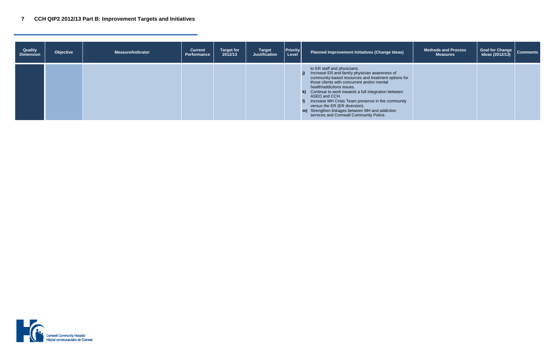## **7 CCH QIP2 2012/13 Part B: Improvement Targets and Initiatives**

| Quality<br><b>Dimension</b> | Objective | <b>Measure/Indicator</b> | <b>Current</b><br><b>Performance</b> | <b>Target for</b><br>2012/13 | <b>Target</b><br><b>Justification</b> | <b>Priority</b><br>Level | <b>Planned Improvement Initiatives (Change Ideas)</b>                                                                                                                                                                                                                                                                                                                                                                                                                             | <b>Methods and Process</b><br><b>Measures</b> | Goal for Change   Comments<br>Ideas (2012/13) |  |
|-----------------------------|-----------|--------------------------|--------------------------------------|------------------------------|---------------------------------------|--------------------------|-----------------------------------------------------------------------------------------------------------------------------------------------------------------------------------------------------------------------------------------------------------------------------------------------------------------------------------------------------------------------------------------------------------------------------------------------------------------------------------|-----------------------------------------------|-----------------------------------------------|--|
|                             |           |                          |                                      |                              |                                       |                          | to ER staff and physicians.<br>j) Increase ER and family physician awareness of<br>community-based resources and treatment options for<br>those clients with concurrent and/or mental<br>health/addictions issues.<br>k) Continue to work towards a full integration between<br>ASEO and CCH.<br>Increase MH Crisis Team presence in the community<br>versus the ER (ER diversion).<br>m) Strengthen linkages between MH and addiction<br>services and Cornwall Community Police. |                                               |                                               |  |

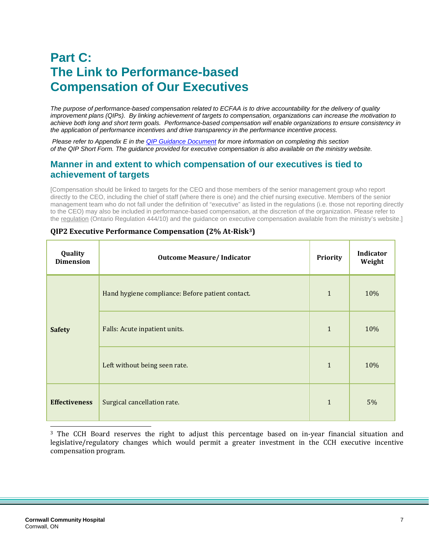# **Part C: The Link to Performance-based Compensation of Our Executives**

*The purpose of performance-based compensation related to ECFAA is to drive accountability for the delivery of quality improvement plans (QIPs). By linking achievement of targets to compensation, organizations can increase the motivation to achieve both long and short term goals. Performance-based compensation will enable organizations to ensure consistency in the application of performance incentives and drive transparency in the performance incentive process.*

*Please refer to Appendix E in th[e QIP Guidance Document](http://www.health.gov.on.ca/en/ms/ecfa/pro/updates/qualityimprove/qip_update_20111122.pdf) for more information on completing this section of the QIP Short Form. The guidance provided for executive compensation is also available on the ministry website.*

#### **Manner in and extent to which compensation of our executives is tied to achievement of targets**

[Compensation should be linked to targets for the CEO and those members of the senior management group who report directly to the CEO, including the chief of staff (where there is one) and the chief nursing executive. Members of the senior management team who do not fall under the definition of "executive" as listed in the regulations (i.e. those not reporting directly to the CEO) may also be included in performance-based compensation, at the discretion of the organization. Please refer to the [regulation](http://www.health.gov.on.ca/en/ms/ecfa/pro/legislation/ecfa_notice.aspx) (Ontario Regulation 444/10) and the guidance on executive compensation available from the ministry's website.]

| Quality<br><b>Dimension</b> | <b>Outcome Measure/Indicator</b>                 | Priority     | Indicator<br>Weight |
|-----------------------------|--------------------------------------------------|--------------|---------------------|
|                             | Hand hygiene compliance: Before patient contact. | $\mathbf{1}$ | 10%                 |
| <b>Safety</b>               | Falls: Acute inpatient units.                    | $\mathbf{1}$ | 10%                 |
|                             | Left without being seen rate.                    | $\mathbf{1}$ | 10%                 |
| <b>Effectiveness</b>        | Surgical cancellation rate.                      | $\mathbf{1}$ | 5%                  |

#### **QIP2 Executive Performance Compensation (2% At-Risk[3\)](#page-13-0)**

<span id="page-13-0"></span><sup>3</sup> The CCH Board reserves the right to adjust this percentage based on in-year financial situation and legislative/regulatory changes which would permit a greater investment in the CCH executive incentive compensation program.

j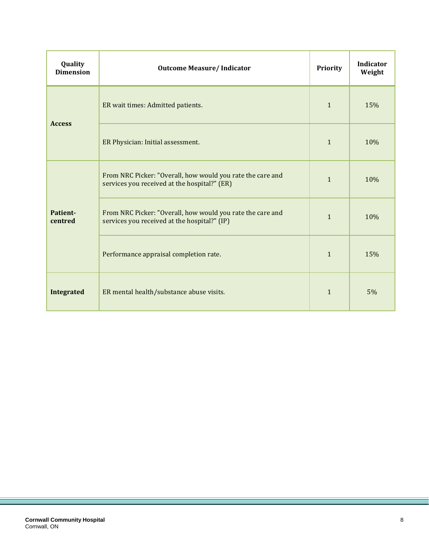| Quality<br><b>Dimension</b> | <b>Outcome Measure/Indicator</b>                                                                           | <b>Priority</b> | <b>Indicator</b><br>Weight |
|-----------------------------|------------------------------------------------------------------------------------------------------------|-----------------|----------------------------|
| <b>Access</b>               | ER wait times: Admitted patients.                                                                          | $\mathbf{1}$    | 15%                        |
|                             | ER Physician: Initial assessment.                                                                          | $\mathbf{1}$    | 10%                        |
| Patient-<br>centred         | From NRC Picker: "Overall, how would you rate the care and<br>services you received at the hospital?" (ER) | $\mathbf{1}$    | 10%                        |
|                             | From NRC Picker: "Overall, how would you rate the care and<br>services you received at the hospital?" (IP) | $\mathbf{1}$    | 10%                        |
|                             | Performance appraisal completion rate.                                                                     | $\mathbf{1}$    | 15%                        |
| <b>Integrated</b>           | ER mental health/substance abuse visits.                                                                   | $\mathbf{1}$    | 5%                         |